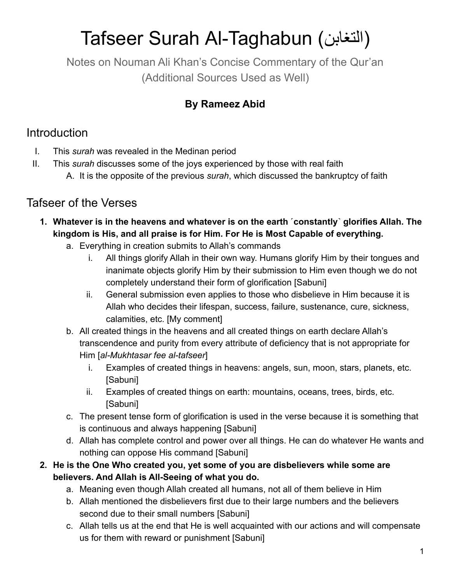# Tafseer Surah Al-Taghabun (التغابن)

Notes on Nouman Ali Khan's Concise Commentary of the Qur'an (Additional Sources Used as Well)

### **By Rameez Abid**

## Introduction

- I. This *surah* was revealed in the Medinan period
- II. This *surah* discusses some of the joys experienced by those with real faith
	- A. It is the opposite of the previous *surah*, which discussed the bankruptcy of faith

## Tafseer of the Verses

- **1. Whatever is in the heavens and whatever is on the earth ˹constantly˺ glorifies Allah. The kingdom is His, and all praise is for Him. For He is Most Capable of everything.**
	- a. Everything in creation submits to Allah's commands
		- i. All things glorify Allah in their own way. Humans glorify Him by their tongues and inanimate objects glorify Him by their submission to Him even though we do not completely understand their form of glorification [Sabuni]
		- ii. General submission even applies to those who disbelieve in Him because it is Allah who decides their lifespan, success, failure, sustenance, cure, sickness, calamities, etc. [My comment]
	- b. All created things in the heavens and all created things on earth declare Allah's transcendence and purity from every attribute of deficiency that is not appropriate for Him [*al-Mukhtasar fee al-tafseer*]
		- i. Examples of created things in heavens: angels, sun, moon, stars, planets, etc. [Sabuni]
		- ii. Examples of created things on earth: mountains, oceans, trees, birds, etc. [Sabuni]
	- c. The present tense form of glorification is used in the verse because it is something that is continuous and always happening [Sabuni]
	- d. Allah has complete control and power over all things. He can do whatever He wants and nothing can oppose His command [Sabuni]
- **2. He is the One Who created you, yet some of you are disbelievers while some are believers. And Allah is All-Seeing of what you do.**
	- a. Meaning even though Allah created all humans, not all of them believe in Him
	- b. Allah mentioned the disbelievers first due to their large numbers and the believers second due to their small numbers [Sabuni]
	- c. Allah tells us at the end that He is well acquainted with our actions and will compensate us for them with reward or punishment [Sabuni]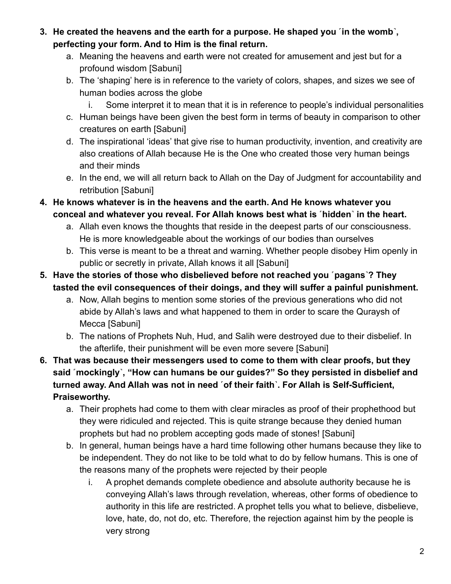- **3. He created the heavens and the earth for a purpose. He shaped you ˹in the womb˺, perfecting your form. And to Him is the final return.**
	- a. Meaning the heavens and earth were not created for amusement and jest but for a profound wisdom [Sabuni]
	- b. The 'shaping' here is in reference to the variety of colors, shapes, and sizes we see of human bodies across the globe
		- i. Some interpret it to mean that it is in reference to people's individual personalities
	- c. Human beings have been given the best form in terms of beauty in comparison to other creatures on earth [Sabuni]
	- d. The inspirational 'ideas' that give rise to human productivity, invention, and creativity are also creations of Allah because He is the One who created those very human beings and their minds
	- e. In the end, we will all return back to Allah on the Day of Judgment for accountability and retribution [Sabuni]
- **4. He knows whatever is in the heavens and the earth. And He knows whatever you conceal and whatever you reveal. For Allah knows best what is ˹hidden˺ in the heart.**
	- a. Allah even knows the thoughts that reside in the deepest parts of our consciousness. He is more knowledgeable about the workings of our bodies than ourselves
	- b. This verse is meant to be a threat and warning. Whether people disobey Him openly in public or secretly in private, Allah knows it all [Sabuni]
- **5. Have the stories of those who disbelieved before not reached you ˹pagans˺? They tasted the evil consequences of their doings, and they will suffer a painful punishment.**
	- a. Now, Allah begins to mention some stories of the previous generations who did not abide by Allah's laws and what happened to them in order to scare the Quraysh of Mecca [Sabuni]
	- b. The nations of Prophets Nuh, Hud, and Salih were destroyed due to their disbelief. In the afterlife, their punishment will be even more severe [Sabuni]
- **6. That was because their messengers used to come to them with clear proofs, but they said ˹mockingly˺, "How can humans be our guides?" So they persisted in disbelief and turned away. And Allah was not in need ˹of their faith˺. For Allah is Self-Sufficient, Praiseworthy.**
	- a. Their prophets had come to them with clear miracles as proof of their prophethood but they were ridiculed and rejected. This is quite strange because they denied human prophets but had no problem accepting gods made of stones! [Sabuni]
	- b. In general, human beings have a hard time following other humans because they like to be independent. They do not like to be told what to do by fellow humans. This is one of the reasons many of the prophets were rejected by their people
		- i. A prophet demands complete obedience and absolute authority because he is conveying Allah's laws through revelation, whereas, other forms of obedience to authority in this life are restricted. A prophet tells you what to believe, disbelieve, love, hate, do, not do, etc. Therefore, the rejection against him by the people is very strong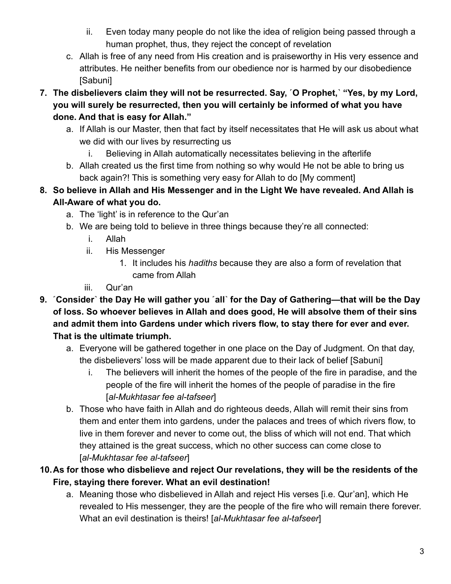- ii. Even today many people do not like the idea of religion being passed through a human prophet, thus, they reject the concept of revelation
- c. Allah is free of any need from His creation and is praiseworthy in His very essence and attributes. He neither benefits from our obedience nor is harmed by our disobedience [Sabuni]
- **7. The disbelievers claim they will not be resurrected. Say, ˹O Prophet,˺ "Yes, by my Lord, you will surely be resurrected, then you will certainly be informed of what you have done. And that is easy for Allah."**
	- a. If Allah is our Master, then that fact by itself necessitates that He will ask us about what we did with our lives by resurrecting us
		- i. Believing in Allah automatically necessitates believing in the afterlife
	- b. Allah created us the first time from nothing so why would He not be able to bring us back again?! This is something very easy for Allah to do [My comment]
- **8. So believe in Allah and His Messenger and in the Light We have revealed. And Allah is All-Aware of what you do.**
	- a. The 'light' is in reference to the Qur'an
	- b. We are being told to believe in three things because they're all connected:
		- i. Allah
		- ii. His Messenger
			- 1. It includes his *hadiths* because they are also a form of revelation that came from Allah
		- iii. Qur'an
- **9. ˹Consider˺ the Day He will gather you ˹all˺ for the Day of Gathering—that will be the Day of loss. So whoever believes in Allah and does good, He will absolve them of their sins and admit them into Gardens under which rivers flow, to stay there for ever and ever. That is the ultimate triumph.**
	- a. Everyone will be gathered together in one place on the Day of Judgment. On that day, the disbelievers' loss will be made apparent due to their lack of belief [Sabuni]
		- i. The believers will inherit the homes of the people of the fire in paradise, and the people of the fire will inherit the homes of the people of paradise in the fire [*al-Mukhtasar fee al-tafseer*]
	- b. Those who have faith in Allah and do righteous deeds, Allah will remit their sins from them and enter them into gardens, under the palaces and trees of which rivers flow, to live in them forever and never to come out, the bliss of which will not end. That which they attained is the great success, which no other success can come close to [*al-Mukhtasar fee al-tafseer*]

#### **10.As for those who disbelieve and reject Our revelations, they will be the residents of the Fire, staying there forever. What an evil destination!**

a. Meaning those who disbelieved in Allah and reject His verses [i.e. Qur'an], which He revealed to His messenger, they are the people of the fire who will remain there forever. What an evil destination is theirs! [*al-Mukhtasar fee al-tafseer*]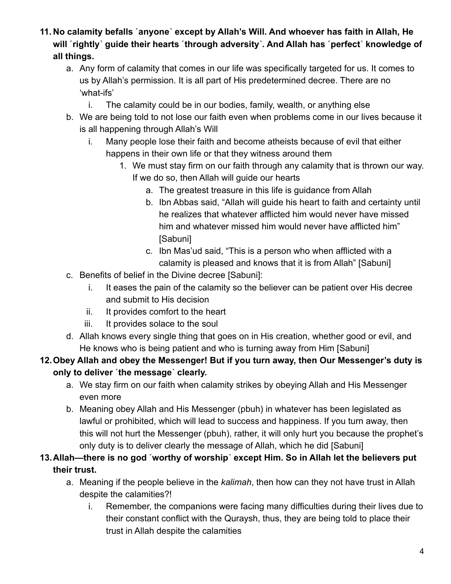- **11. No calamity befalls ˹anyone˺ except by Allah's Will. And whoever has faith in Allah, He** will **rightly** guide their hearts [through adversity]. And Allah has [perfect] knowledge of **all things.**
	- a. Any form of calamity that comes in our life was specifically targeted for us. It comes to us by Allah's permission. It is all part of His predetermined decree. There are no 'what-ifs'
		- i. The calamity could be in our bodies, family, wealth, or anything else
	- b. We are being told to not lose our faith even when problems come in our lives because it is all happening through Allah's Will
		- i. Many people lose their faith and become atheists because of evil that either happens in their own life or that they witness around them
			- 1. We must stay firm on our faith through any calamity that is thrown our way. If we do so, then Allah will guide our hearts
				- a. The greatest treasure in this life is guidance from Allah
				- b. Ibn Abbas said, "Allah will guide his heart to faith and certainty until he realizes that whatever afflicted him would never have missed him and whatever missed him would never have afflicted him" [Sabuni]
				- c. Ibn Mas'ud said, "This is a person who when afflicted with a calamity is pleased and knows that it is from Allah" [Sabuni]
	- c. Benefits of belief in the Divine decree [Sabuni]:
		- i. It eases the pain of the calamity so the believer can be patient over His decree and submit to His decision
		- ii. It provides comfort to the heart
		- iii. It provides solace to the soul
	- d. Allah knows every single thing that goes on in His creation, whether good or evil, and He knows who is being patient and who is turning away from Him [Sabuni]

#### **12.Obey Allah and obey the Messenger! But if you turn away, then Our Messenger's duty is only to deliver ˹the message˺ clearly.**

- a. We stay firm on our faith when calamity strikes by obeying Allah and His Messenger even more
- b. Meaning obey Allah and His Messenger (pbuh) in whatever has been legislated as lawful or prohibited, which will lead to success and happiness. If you turn away, then this will not hurt the Messenger (pbuh), rather, it will only hurt you because the prophet's only duty is to deliver clearly the message of Allah, which he did [Sabuni]

#### **13.Allah—there is no god ˹worthy of worship˺ except Him. So in Allah let the believers put their trust.**

- a. Meaning if the people believe in the *kalimah*, then how can they not have trust in Allah despite the calamities?!
	- i. Remember, the companions were facing many difficulties during their lives due to their constant conflict with the Quraysh, thus, they are being told to place their trust in Allah despite the calamities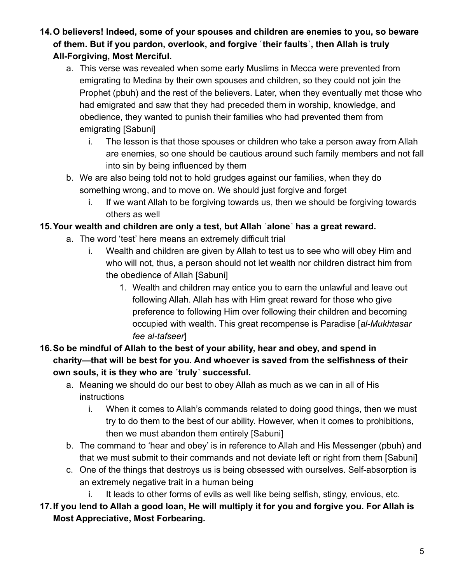- **14.O believers! Indeed, some of your spouses and children are enemies to you, so beware** of them. But if you pardon, overlook, and forgive [their faults], then Allah is truly **All-Forgiving, Most Merciful.**
	- a. This verse was revealed when some early Muslims in Mecca were prevented from emigrating to Medina by their own spouses and children, so they could not join the Prophet (pbuh) and the rest of the believers. Later, when they eventually met those who had emigrated and saw that they had preceded them in worship, knowledge, and obedience, they wanted to punish their families who had prevented them from emigrating [Sabuni]
		- i. The lesson is that those spouses or children who take a person away from Allah are enemies, so one should be cautious around such family members and not fall into sin by being influenced by them
	- b. We are also being told not to hold grudges against our families, when they do something wrong, and to move on. We should just forgive and forget
		- i. If we want Allah to be forgiving towards us, then we should be forgiving towards others as well

#### **15.Your wealth and children are only a test, but Allah ˹alone˺ has a great reward.**

- a. The word 'test' here means an extremely difficult trial
	- i. Wealth and children are given by Allah to test us to see who will obey Him and who will not, thus, a person should not let wealth nor children distract him from the obedience of Allah [Sabuni]
		- 1. Wealth and children may entice you to earn the unlawful and leave out following Allah. Allah has with Him great reward for those who give preference to following Him over following their children and becoming occupied with wealth. This great recompense is Paradise [*al-Mukhtasar fee al-tafseer*]
- **16.So be mindful of Allah to the best of your ability, hear and obey, and spend in charity—that will be best for you. And whoever is saved from the selfishness of their own souls, it is they who are ˹truly˺ successful.**
	- a. Meaning we should do our best to obey Allah as much as we can in all of His instructions
		- i. When it comes to Allah's commands related to doing good things, then we must try to do them to the best of our ability. However, when it comes to prohibitions, then we must abandon them entirely [Sabuni]
	- b. The command to 'hear and obey' is in reference to Allah and His Messenger (pbuh) and that we must submit to their commands and not deviate left or right from them [Sabuni]
	- c. One of the things that destroys us is being obsessed with ourselves. Self-absorption is an extremely negative trait in a human being
		- i. It leads to other forms of evils as well like being selfish, stingy, envious, etc.
- **17.If you lend to Allah a good loan, He will multiply it for you and forgive you. For Allah is Most Appreciative, Most Forbearing.**